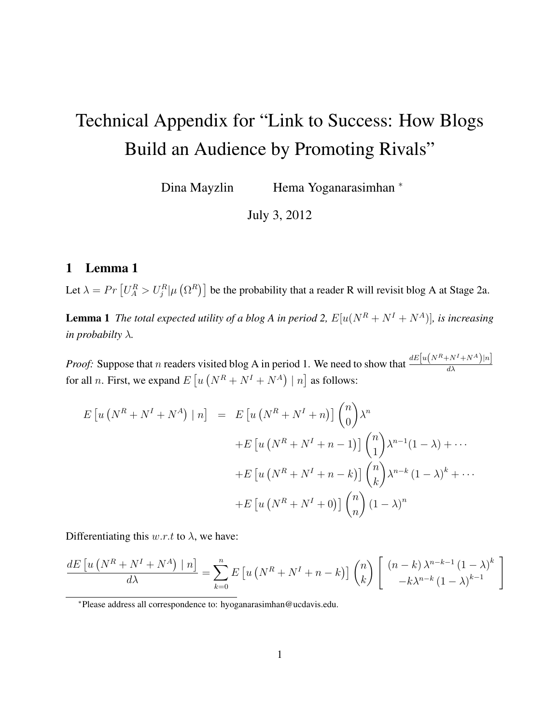# Technical Appendix for "Link to Success: How Blogs Build an Audience by Promoting Rivals"

Dina Mayzlin Hema Yoganarasimhan <sup>∗</sup>

July 3, 2012

## 1 Lemma 1

Let  $\lambda = Pr \left[ U_A^R > U_j^R \middle| \mu \left( \Omega^R \right) \right]$  be the probability that a reader R will revisit blog A at Stage 2a.

**Lemma 1** *The total expected utility of a blog A in period 2,*  $E[u(N^R + N^I + N^A)]$ *, is increasing in probabilty* λ*.*

*Proof:* Suppose that n readers visited blog A in period 1. We need to show that  $\frac{dE[u(N^R+N^I+N^A)]n]}{d\lambda}$ for all *n*. First, we expand  $E\left[u\left(N^R + N^I + N^A\right) \mid n\right]$  as follows:

$$
E\left[u\left(N^{R}+N^{I}+N^{A}\right)\mid n\right] = E\left[u\left(N^{R}+N^{I}+n\right)\right]\binom{n}{0}\lambda^{n}
$$

$$
+E\left[u\left(N^{R}+N^{I}+n-1\right)\right]\binom{n}{1}\lambda^{n-1}(1-\lambda)+\cdots
$$

$$
+E\left[u\left(N^{R}+N^{I}+n-k\right)\right]\binom{n}{k}\lambda^{n-k}(1-\lambda)^{k}+\cdots
$$

$$
+E\left[u\left(N^{R}+N^{I}+0\right)\right]\binom{n}{n}(1-\lambda)^{n}
$$

Differentiating this  $w.r.t$  to  $\lambda$ , we have:

$$
\frac{dE\left[u\left(N^{R}+N^{I}+N^{A}\right)\mid n\right]}{d\lambda} = \sum_{k=0}^{n} E\left[u\left(N^{R}+N^{I}+n-k\right)\right] \binom{n}{k} \left[\begin{array}{c} \left(n-k\right)\lambda^{n-k-1}\left(1-\lambda\right)^{k} \\ -k\lambda^{n-k}\left(1-\lambda\right)^{k-1} \end{array}\right]
$$

<sup>∗</sup>Please address all correspondence to: hyoganarasimhan@ucdavis.edu.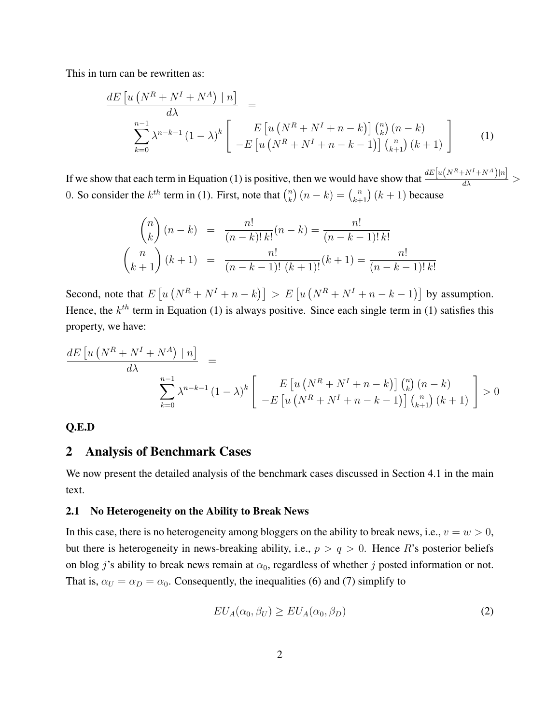This in turn can be rewritten as:

$$
\frac{dE\left[u\left(N^{R}+N^{I}+N^{A}\right)|n\right]}{\lambda} = \frac{\sum_{k=0}^{n-1} \lambda^{n-k-1} (1-\lambda)^{k} \left[\begin{array}{c} E\left[u\left(N^{R}+N^{I}+n-k\right)\right] \binom{n}{k} (n-k) \\ -E\left[u\left(N^{R}+N^{I}+n-k-1\right)\right] \binom{n}{k+1} (k+1) \end{array}\right] \tag{1}
$$

If we show that each term in Equation (1) is positive, then we would have show that  $\frac{dE[u(N^R+N^I+N^A)]n]}{d\lambda}$ 0. So consider the  $k^{th}$  term in (1). First, note that  $\binom{n}{k}$  ${k \choose k} (n-k) = {n \choose k+1} (k+1)$  because

$$
\binom{n}{k} (n-k) = \frac{n!}{(n-k)! \, k!} (n-k) = \frac{n!}{(n-k-1)! \, k!}
$$
\n
$$
\binom{n}{k+1} (k+1) = \frac{n!}{(n-k-1)! \, (k+1)!} (k+1) = \frac{n!}{(n-k-1)! \, k!}
$$

Second, note that  $E\left[u\left(N^R+N^I+n-k\right)\right] > E\left[u\left(N^R+N^I+n-k-1\right)\right]$  by assumption. Hence, the  $k^{th}$  term in Equation (1) is always positive. Since each single term in (1) satisfies this property, we have:

$$
\frac{dE\left[u\left(N^{R}+N^{I}+N^{A}\right)\mid n\right]}{\lambda} = \frac{\sum_{k=0}^{n-1} \lambda^{n-k-1} (1-\lambda)^{k} \left[\begin{array}{c} E\left[u\left(N^{R}+N^{I}+n-k\right)\right] \binom{n}{k} (n-k) \\ -E\left[u\left(N^{R}+N^{I}+n-k-1\right)\right] \binom{n}{k+1} (k+1) \end{array}\right] > 0
$$

## Q.E.D

## 2 Analysis of Benchmark Cases

We now present the detailed analysis of the benchmark cases discussed in Section 4.1 in the main text.

#### 2.1 No Heterogeneity on the Ability to Break News

In this case, there is no heterogeneity among bloggers on the ability to break news, i.e.,  $v = w > 0$ , but there is heterogeneity in news-breaking ability, i.e.,  $p > q > 0$ . Hence R's posterior beliefs on blog j's ability to break news remain at  $\alpha_0$ , regardless of whether j posted information or not. That is,  $\alpha_U = \alpha_D = \alpha_0$ . Consequently, the inequalities (6) and (7) simplify to

$$
EU_A(\alpha_0, \beta_U) \ge EU_A(\alpha_0, \beta_D) \tag{2}
$$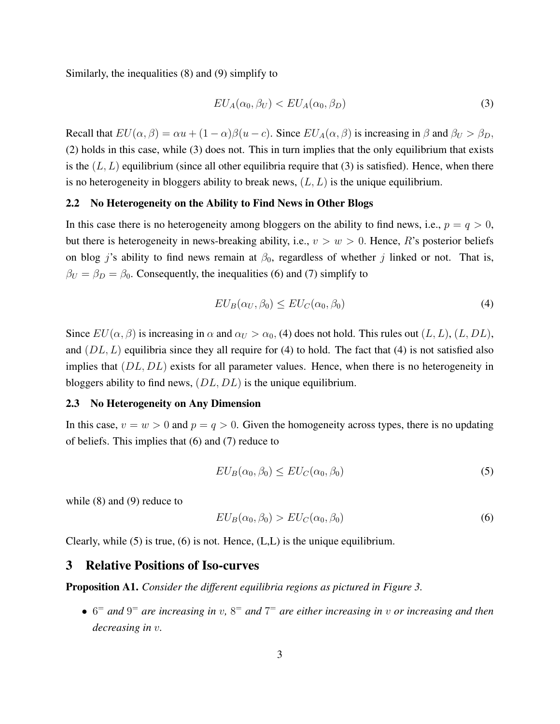Similarly, the inequalities (8) and (9) simplify to

$$
EU_A(\alpha_0, \beta_U) < EU_A(\alpha_0, \beta_D) \tag{3}
$$

Recall that  $EU(\alpha, \beta) = \alpha u + (1 - \alpha)\beta(u - c)$ . Since  $EU_A(\alpha, \beta)$  is increasing in  $\beta$  and  $\beta_U > \beta_D$ , (2) holds in this case, while (3) does not. This in turn implies that the only equilibrium that exists is the  $(L, L)$  equilibrium (since all other equilibria require that (3) is satisfied). Hence, when there is no heterogeneity in bloggers ability to break news,  $(L, L)$  is the unique equilibrium.

### 2.2 No Heterogeneity on the Ability to Find News in Other Blogs

In this case there is no heterogeneity among bloggers on the ability to find news, i.e.,  $p = q > 0$ , but there is heterogeneity in news-breaking ability, i.e.,  $v > w > 0$ . Hence, R's posterior beliefs on blog j's ability to find news remain at  $\beta_0$ , regardless of whether j linked or not. That is,  $\beta_U = \beta_D = \beta_0$ . Consequently, the inequalities (6) and (7) simplify to

$$
EU_B(\alpha_U, \beta_0) \le EU_C(\alpha_0, \beta_0) \tag{4}
$$

Since  $EU(\alpha, \beta)$  is increasing in  $\alpha$  and  $\alpha_U > \alpha_0$ , (4) does not hold. This rules out  $(L, L)$ ,  $(L, DL)$ , and  $(DL, L)$  equilibria since they all require for (4) to hold. The fact that (4) is not satisfied also implies that  $(DL, DL)$  exists for all parameter values. Hence, when there is no heterogeneity in bloggers ability to find news, (DL, DL) is the unique equilibrium.

### 2.3 No Heterogeneity on Any Dimension

In this case,  $v = w > 0$  and  $p = q > 0$ . Given the homogeneity across types, there is no updating of beliefs. This implies that (6) and (7) reduce to

$$
EU_B(\alpha_0, \beta_0) \le EU_C(\alpha_0, \beta_0) \tag{5}
$$

while  $(8)$  and  $(9)$  reduce to

$$
EU_B(\alpha_0, \beta_0) > EU_C(\alpha_0, \beta_0)
$$
\n<sup>(6)</sup>

Clearly, while (5) is true, (6) is not. Hence, (L,L) is the unique equilibrium.

## 3 Relative Positions of Iso-curves

Proposition A1. *Consider the different equilibria regions as pictured in Figure 3.*

• 6 <sup>=</sup> *and* 9 <sup>=</sup> *are increasing in* v*,* 8 <sup>=</sup> *and* 7 <sup>=</sup> *are either increasing in* v *or increasing and then decreasing in* v*.*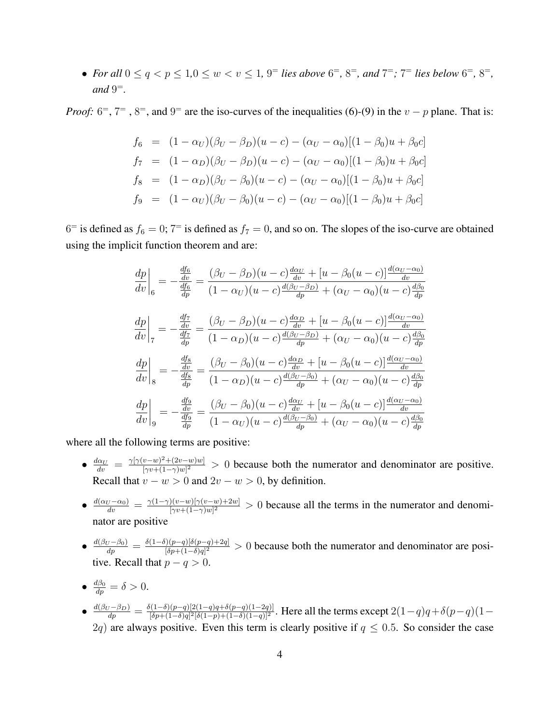• *For all*  $0 \le q < p \le 1, 0 \le w < v \le 1, 9$  *lies above*  $6^{\pm}$ ,  $8^{\pm}$ , and  $7^{\pm}$ ;  $7^{\pm}$  *lies below*  $6^{\pm}$ ,  $8^{\pm}$ ,  $and 9^=$ .

*Proof:*  $6^{\circ}$ ,  $7^{\circ}$ ,  $8^{\circ}$ , and  $9^{\circ}$  are the iso-curves of the inequalities (6)-(9) in the  $v - p$  plane. That is:

$$
f_6 = (1 - \alpha_U)(\beta_U - \beta_D)(u - c) - (\alpha_U - \alpha_0)[(1 - \beta_0)u + \beta_0 c]
$$
  
\n
$$
f_7 = (1 - \alpha_D)(\beta_U - \beta_D)(u - c) - (\alpha_U - \alpha_0)[(1 - \beta_0)u + \beta_0 c]
$$
  
\n
$$
f_8 = (1 - \alpha_D)(\beta_U - \beta_0)(u - c) - (\alpha_U - \alpha_0)[(1 - \beta_0)u + \beta_0 c]
$$
  
\n
$$
f_9 = (1 - \alpha_U)(\beta_U - \beta_0)(u - c) - (\alpha_U - \alpha_0)[(1 - \beta_0)u + \beta_0 c]
$$

 $6<sup>+</sup>$  is defined as  $f_6 = 0$ ;  $7<sup>+</sup>$  is defined as  $f_7 = 0$ , and so on. The slopes of the iso-curve are obtained using the implicit function theorem and are:

$$
\frac{dp}{dv}\Big|_{6} = -\frac{\frac{df_{6}}{dv}}{\frac{df_{6}}{dp}} = \frac{(\beta_{U} - \beta_{D})(u - c)\frac{d\alpha_{U}}{dv} + [u - \beta_{0}(u - c)]\frac{d(\alpha_{U} - \alpha_{0})}{dv}}{(1 - \alpha_{U})(u - c)\frac{d(\beta_{U} - \beta_{D})}{dp} + (\alpha_{U} - \alpha_{0})(u - c)\frac{d\beta_{0}}{dp}}
$$
\n
$$
\frac{dp}{dv}\Big|_{7} = -\frac{\frac{df_{7}}{dv}}{\frac{df_{7}}{dp}} = \frac{(\beta_{U} - \beta_{D})(u - c)\frac{d\alpha_{D}}{dv} + [u - \beta_{0}(u - c)]\frac{d(\alpha_{U} - \alpha_{0})}{dv}}{(1 - \alpha_{D})(u - c)\frac{d(\beta_{U} - \beta_{D})}{dp} + (\alpha_{U} - \alpha_{0})(u - c)\frac{d\beta_{0}}{dp}}
$$
\n
$$
\frac{dp}{dv}\Big|_{8} = -\frac{\frac{df_{8}}{dv}}{\frac{df_{8}}{dp}} = \frac{(\beta_{U} - \beta_{0})(u - c)\frac{d\alpha_{D}}{dv} + [u - \beta_{0}(u - c)]\frac{d(\alpha_{U} - \alpha_{0})}{dv}}{(1 - \alpha_{D})(u - c)\frac{d(\beta_{U} - \beta_{0})}{dp} + (\alpha_{U} - \alpha_{0})(u - c)\frac{d\beta_{0}}{dp}}
$$
\n
$$
\frac{dp}{dv}\Big|_{9} = -\frac{\frac{df_{9}}{dv}}{\frac{df_{9}}{dp}} = \frac{(\beta_{U} - \beta_{0})(u - c)\frac{d\alpha_{U}}{dv} + [u - \beta_{0}(u - c)]\frac{d(\alpha_{U} - \alpha_{0})}{dv}}{(1 - \alpha_{U})(u - c)\frac{d(\beta_{U} - \beta_{0})}{dp} + (\alpha_{U} - \alpha_{0})(u - c)\frac{d\beta_{0}}{dp}}
$$

where all the following terms are positive:

- $\frac{d\alpha_U}{dv} = \frac{\gamma[\gamma(v-w)^2 + (2v-w)w]}{[\gamma v + (1-\gamma)w]^2}$  $\frac{v-w)^2 + (2v-w)w}{(v)(1-\gamma)w|^2} > 0$  because both the numerator and denominator are positive. Recall that  $v - w > 0$  and  $2v - w > 0$ , by definition.
- $\bullet$   $\frac{d(\alpha_U \alpha_0)}{dv} = \frac{\gamma(1-\gamma)(v-w)[\gamma(v-w)+2w]}{[\gamma v+(1-\gamma)w]^2}$  $\frac{g(v-w)[\gamma(v-w)+2w]}{[\gamma v+(1-\gamma)w]^2} > 0$  because all the terms in the numerator and denominator are positive
- $\bullet$   $\frac{d(\beta_U \beta_0)}{dp} = \frac{\delta(1-\delta)(p-q)[\delta(p-q)+2q]}{[\delta p + (1-\delta)q]^2}$  $\frac{f(p-q)[\delta(p-q)+2q]}{[\delta p+(1-\delta)q]^2} > 0$  because both the numerator and denominator are positive. Recall that  $p - q > 0$ .
- $\bullet$   $\frac{d\beta_0}{dp} = \delta > 0.$
- $\bullet$   $\frac{d(\beta_U \beta_D)}{dp} = \frac{\delta(1-\delta)(p-q)[2(1-q)q+\delta(p-q)(1-2q)]}{[\delta p+(1-\delta)q]^2[\delta(1-p)+(1-\delta)(1-q)]^2}$  $\frac{[(1-\delta)(p-q)[2(1-q)q+\delta(p-q)(1-2q)]}{[\delta p+(1-\delta)q]^2[\delta(1-p)+(1-\delta)(1-q)]^2}$ . Here all the terms except  $2(1-q)q+\delta(p-q)(1-q)$ 2q) are always positive. Even this term is clearly positive if  $q \leq 0.5$ . So consider the case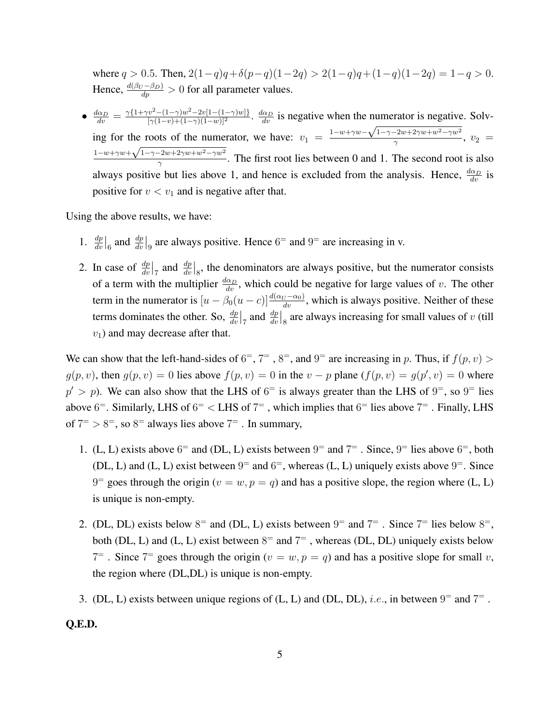where  $q > 0.5$ . Then,  $2(1-q)q + \delta(p-q)(1-2q) > 2(1-q)q + (1-q)(1-2q) = 1-q > 0$ . Hence,  $\frac{d(\beta_U - \beta_D)}{dp} > 0$  for all parameter values.

 $\bullet$   $\frac{d\alpha_D}{dv} = \frac{\gamma\{1+\gamma v^2-(1-\gamma)w^2-2v[1-(1-\gamma)w]\}}{[\gamma(1-v)+(1-\gamma)(1-w)]^2}$  $\frac{w^2-(1-\gamma)w^2-2v[1-(1-\gamma)w]}{[\gamma(1-v)+(1-\gamma)(1-w)]^2}$ .  $\frac{d\alpha_D}{dv}$  is negative when the numerator is negative. Solving for the roots of the numerator, we have:  $v_1 = \frac{1-w+\gamma w-\sqrt{1-\gamma-2w+2\gamma w+w^2-\gamma w^2}}{\gamma}$ the roots of the numerator, we have:  $v_1 = \frac{1 - w + \gamma w - \sqrt{1 - \gamma - 2w + 2\gamma w + w - \gamma w}}{\gamma}, v_2 = \sqrt{\gamma}$  $1-w+\gamma w+\sqrt{1-\gamma-2w+2\gamma w+w^2-\gamma w^2}$  $\frac{p_2}{q_1}$ . The first root lies between 0 and 1. The second root is also always positive but lies above 1, and hence is excluded from the analysis. Hence,  $\frac{d\alpha_D}{dv}$  is positive for  $v < v_1$  and is negative after that.

Using the above results, we have:

- 1.  $\frac{dp}{dv}\Big|_6$  and  $\frac{dp}{dv}\Big|_9$  are always positive. Hence 6<sup>=</sup> and 9<sup>=</sup> are increasing in v.
- 2. In case of  $\frac{dp}{dv}|_7$  and  $\frac{dp}{dv}|_8$ , the denominators are always positive, but the numerator consists of a term with the multiplier  $\frac{d\alpha_D}{dv}$ , which could be negative for large values of v. The other term in the numerator is  $[u - \beta_0(u-c)]\frac{d(\alpha_U - \alpha_0)}{dv}$ , which is always positive. Neither of these terms dominates the other. So,  $\frac{dp}{dv}|_7$  and  $\frac{dp}{dv}|_8$  are always increasing for small values of v (till  $v_1$ ) and may decrease after that.

We can show that the left-hand-sides of  $6^{\circ}$ ,  $7^{\circ}$ ,  $8^{\circ}$ , and  $9^{\circ}$  are increasing in p. Thus, if  $f(p, v)$  $g(p, v)$ , then  $g(p, v) = 0$  lies above  $f(p, v) = 0$  in the  $v - p$  plane  $(f(p, v) = g(p', v) = 0$  where  $p' > p$ ). We can also show that the LHS of  $6<sup>=</sup>$  is always greater than the LHS of  $9<sup>=</sup>$ , so  $9<sup>=</sup>$  lies above  $6^{\circ}$ . Similarly, LHS of  $6^{\circ}$  < LHS of  $7^{\circ}$ , which implies that  $6^{\circ}$  lies above  $7^{\circ}$ . Finally, LHS of  $7 = 8$ , so  $8 = 1$  always lies above  $7 = 1$ . In summary,

- 1. (L, L) exists above  $6^{\circ}$  and (DL, L) exists between  $9^{\circ}$  and  $7^{\circ}$ . Since,  $9^{\circ}$  lies above  $6^{\circ}$ , both (DL, L) and (L, L) exist between  $9^=$  and  $6^=$ , whereas (L, L) uniquely exists above  $9^=$ . Since  $9^{\circ}$  goes through the origin ( $v = w, p = q$ ) and has a positive slope, the region where (L, L) is unique is non-empty.
- 2. (DL, DL) exists below  $8^{\circ}$  and (DL, L) exists between  $9^{\circ}$  and  $7^{\circ}$ . Since  $7^{\circ}$  lies below  $8^{\circ}$ , both (DL, L) and (L, L) exist between  $8=$  and  $7=$  , whereas (DL, DL) uniquely exists below 7<sup>=</sup>. Since 7<sup>=</sup> goes through the origin ( $v = w, p = q$ ) and has a positive slope for small v, the region where (DL,DL) is unique is non-empty.
- 3. (DL, L) exists between unique regions of (L, L) and (DL, DL), *i.e.*, in between  $9=$  and  $7=$ .

Q.E.D.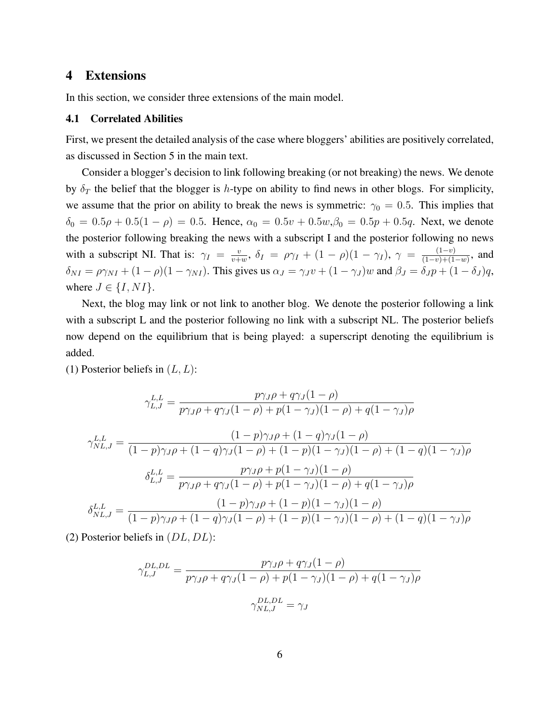## 4 Extensions

In this section, we consider three extensions of the main model.

#### 4.1 Correlated Abilities

First, we present the detailed analysis of the case where bloggers' abilities are positively correlated, as discussed in Section 5 in the main text.

Consider a blogger's decision to link following breaking (or not breaking) the news. We denote by  $\delta_T$  the belief that the blogger is h-type on ability to find news in other blogs. For simplicity, we assume that the prior on ability to break the news is symmetric:  $\gamma_0 = 0.5$ . This implies that  $\delta_0 = 0.5\rho + 0.5(1 - \rho) = 0.5$ . Hence,  $\alpha_0 = 0.5v + 0.5w, \beta_0 = 0.5p + 0.5q$ . Next, we denote the posterior following breaking the news with a subscript I and the posterior following no news with a subscript NI. That is:  $\gamma_I = \frac{v}{v+1}$  $\frac{v}{v+w}$ ,  $\delta_I = \rho \gamma_I + (1-\rho)(1-\gamma_I)$ ,  $\gamma = \frac{(1-v)}{(1-v)+(1-\rho)}$  $\frac{(1-v)}{(1-v)+(1-w)}$ , and  $\delta_{NI} = \rho \gamma_{NI} + (1 - \rho)(1 - \gamma_{NI})$ . This gives us  $\alpha_J = \gamma_J v + (1 - \gamma_J)w$  and  $\beta_J = \delta_J p + (1 - \delta_J)q$ , where  $J \in \{I, NI\}$ .

Next, the blog may link or not link to another blog. We denote the posterior following a link with a subscript L and the posterior following no link with a subscript NL. The posterior beliefs now depend on the equilibrium that is being played: a superscript denoting the equilibrium is added.

(1) Posterior beliefs in  $(L, L)$ :

$$
\gamma_{L,J}^{L,L} = \frac{p\gamma_J \rho + q\gamma_J (1 - \rho)}{p\gamma_J \rho + q\gamma_J (1 - \rho) + p(1 - \gamma_J)(1 - \rho) + q(1 - \gamma_J)\rho}
$$

$$
\gamma_{NL,J}^{L,L} = \frac{(1 - p)\gamma_J \rho + (1 - q)\gamma_J (1 - \rho)}{(1 - p)\gamma_J \rho + (1 - q)\gamma_J (1 - \rho) + (1 - p)(1 - \gamma_J)(1 - \rho) + (1 - q)(1 - \gamma_J)\rho}
$$

$$
\delta_{L,J}^{L,L} = \frac{p\gamma_J \rho + p(1 - \gamma_J)(1 - \rho)}{p\gamma_J \rho + q\gamma_J (1 - \rho) + p(1 - \gamma_J)(1 - \rho) + q(1 - \gamma_J)\rho}
$$

$$
\delta_{NL,J}^{L,L} = \frac{(1 - p)\gamma_J \rho + (1 - p)(1 - \gamma_J)(1 - \rho)}{(1 - p)\gamma_J \rho + (1 - q)\gamma_J (1 - \rho) + (1 - p)(1 - \gamma_J)(1 - \rho) + (1 - q)(1 - \gamma_J)\rho}
$$

(2) Posterior beliefs in  $(DL, DL)$ :

$$
\gamma_{L,J}^{DL,DL} = \frac{p\gamma_{J}\rho + q\gamma_{J}(1-\rho)}{p\gamma_{J}\rho + q\gamma_{J}(1-\rho) + p(1-\gamma_{J})(1-\rho) + q(1-\gamma_{J})\rho}
$$

$$
\gamma_{NL,J}^{DL,DL} = \gamma_{J}
$$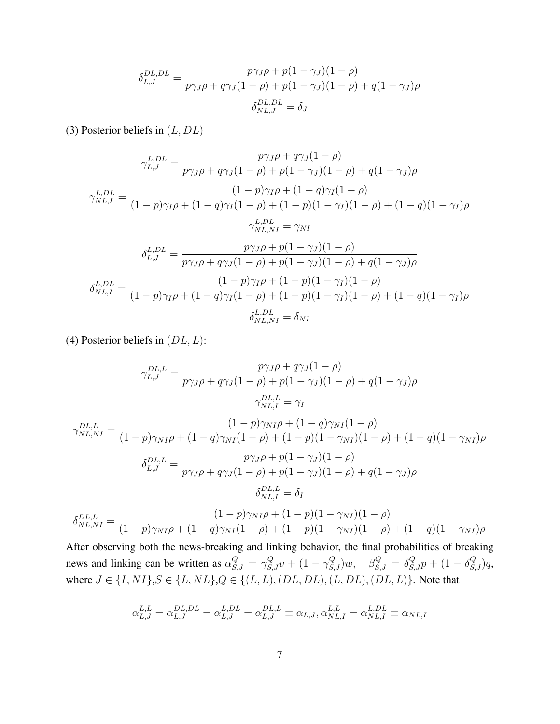$$
\delta_{L,J}^{DL,DL} = \frac{p\gamma_{J}\rho + p(1-\gamma_{J})(1-\rho)}{p\gamma_{J}\rho + q\gamma_{J}(1-\rho) + p(1-\gamma_{J})(1-\rho) + q(1-\gamma_{J})\rho}
$$

$$
\delta_{NL,J}^{DL,DL} = \delta_{J}
$$

(3) Posterior beliefs in  $(L, DL)$ 

$$
\gamma_{L,J}^{L,DL} = \frac{p\gamma_{J}\rho + q\gamma_{J}(1-\rho)}{p\gamma_{J}\rho + q\gamma_{J}(1-\rho) + p(1-\gamma_{J})(1-\rho) + q(1-\gamma_{J})\rho}
$$

$$
\gamma_{NL,I}^{L,DL} = \frac{(1-p)\gamma_{I}\rho + (1-q)\gamma_{I}(1-\rho)}{(1-p)\gamma_{I}\rho + (1-q)\gamma_{I}(1-\rho) + (1-p)(1-\gamma_{I})(1-\rho) + (1-q)(1-\gamma_{I})\rho}
$$

$$
\gamma_{NL,NI}^{L,DL} = \gamma_{NI}
$$

$$
\delta_{L,J}^{L,DL} = \frac{p\gamma_{J}\rho + p(1-\gamma_{J})(1-\rho)}{p\gamma_{J}\rho + q\gamma_{J}(1-\rho) + p(1-\gamma_{J})(1-\rho) + q(1-\gamma_{J})\rho}
$$

$$
\delta_{NL,I}^{L,DL} = \frac{(1-p)\gamma_{I}\rho + (1-p)(1-\gamma_{I})(1-\rho)}{(1-p)\gamma_{I}\rho + (1-q)\gamma_{I}(1-\rho) + (1-p)(1-\gamma_{I})(1-\rho) + (1-q)(1-\gamma_{I})\rho}
$$

$$
\delta_{NL,NI}^{L,DL} = \delta_{NI}
$$

(4) Posterior beliefs in  $(DL, L)$ :

$$
\gamma_{L,J}^{DL,L} = \frac{p\gamma_J \rho + q\gamma_J (1 - \rho)}{p\gamma_J \rho + q\gamma_J (1 - \rho) + p(1 - \gamma_J)(1 - \rho) + q(1 - \gamma_J)\rho}
$$

$$
\gamma_{NL,I}^{DL,L} = \gamma_I
$$

$$
\gamma_{NL,NI}^{DL,L} = \frac{(1-p)\gamma_{NI}\rho + (1-q)\gamma_{NI}(1-\rho)}{(1-p)\gamma_{NI}\rho + (1-q)\gamma_{NI}(1-\rho) + (1-p)(1-\gamma_{NI})(1-\rho) + (1-q)(1-\gamma_{NI})\rho}
$$

$$
\delta_{L,J}^{DL,L} = \frac{p\gamma_{J}\rho + p(1-\gamma_{J})(1-\rho)}{p\gamma_{J}\rho + q\gamma_{J}(1-\rho) + p(1-\gamma_{J})(1-\rho) + q(1-\gamma_{J})\rho}
$$

$$
\delta_{NL,I}^{DL,L} = \delta_{I}
$$

$$
\delta_{NL,NI}^{DL,L} = \frac{(1-p)\gamma_{NI}\rho + (1-p)(1-\gamma_{NI})(1-\rho)}{(1-p)\gamma_{NI}\rho + (1-q)\gamma_{NI}(1-\rho) + (1-p)(1-\gamma_{NI})(1-\rho) + (1-q)(1-\gamma_{NI})\rho}
$$

After observing both the news-breaking and linking behavior, the final probabilities of breaking news and linking can be written as  $\alpha_{S,J}^Q = \gamma_{S,J}^Q v + (1 - \gamma_{S,J}^Q)w$ ,  $\beta_{S,J}^Q = \delta_{S,J}^Q p + (1 - \delta_{S,J}^Q)q$ , where  $J \in \{I, NI\}$ ,  $S \in \{L, NL\}$ ,  $Q \in \{(L, L), (DL, DL), (L, DL), (DL, L)\}$ . Note that

$$
\alpha_{L,J}^{L,L}=\alpha_{L,J}^{DL,DL}=\alpha_{L,J}^{L,DL}=\alpha_{L,J}^{DL,L}\equiv\alpha_{L,J},\alpha_{NL,I}^{L,L}=\alpha_{NL,I}^{L,DL}\equiv\alpha_{NL,I}
$$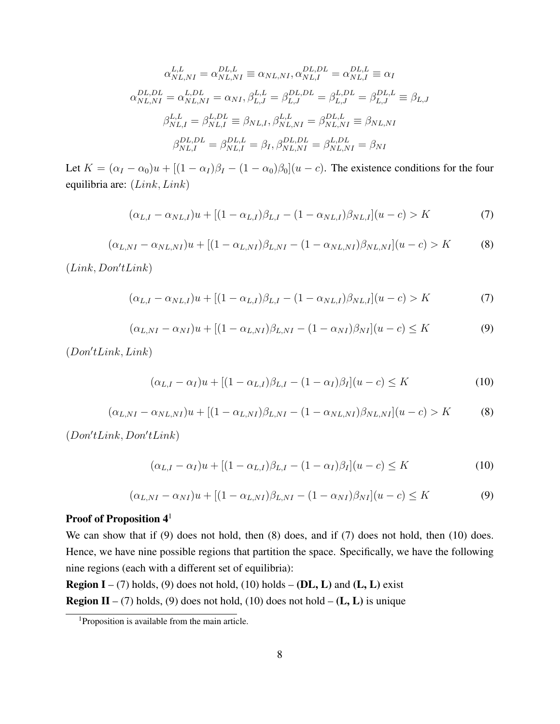$$
\alpha_{NL,NI}^{L,L} = \alpha_{NL,NI}^{DL,L} \equiv \alpha_{NL,NI}, \alpha_{NL,I}^{DL,DL} = \alpha_{NL,I}^{DL,L} \equiv \alpha_I
$$
  
\n
$$
\alpha_{NL,NI}^{DL,DL} = \alpha_{NL,NI}^{L,DL} = \alpha_{NI}, \beta_{L,J}^{L,L} = \beta_{L,J}^{DL,DL} = \beta_{L,J}^{L,DL} = \beta_{L,J}^{DL,L} \equiv \beta_{L,J}
$$
  
\n
$$
\beta_{NL,I}^{L,L} = \beta_{NL,I}^{L,DL} \equiv \beta_{NL,I}, \beta_{NL,NI}^{L,L} = \beta_{NL,NI}^{DL,L} \equiv \beta_{NL,NI}
$$
  
\n
$$
\beta_{NL,I}^{DL,DL} = \beta_{NL,I}^{DL,L} = \beta_I, \beta_{NL,NI}^{DL,DL} = \beta_{NL,NI}^{DL} = \beta_{NI}
$$

Let  $K = (\alpha_I - \alpha_0)u + [(1 - \alpha_I)\beta_I - (1 - \alpha_0)\beta_0](u - c)$ . The existence conditions for the four equilibria are: (Link, Link)

$$
(\alpha_{L,I} - \alpha_{NL,I})u + [(1 - \alpha_{L,I})\beta_{L,I} - (1 - \alpha_{NL,I})\beta_{NL,I}](u - c) > K
$$
\n(7)

$$
(\alpha_{L,NI} - \alpha_{NL,NI})u + [(1 - \alpha_{L,NI})\beta_{L,NI} - (1 - \alpha_{NL,NI})\beta_{NL,NI}](u - c) > K
$$
 (8)

 $(Link, Don'tLink)$ 

$$
(\alpha_{L,I} - \alpha_{NL,I})u + [(1 - \alpha_{L,I})\beta_{L,I} - (1 - \alpha_{NL,I})\beta_{NL,I}](u - c) > K
$$
\n(7)

$$
(\alpha_{L,NI} - \alpha_{NI})u + [(1 - \alpha_{L,NI})\beta_{L,NI} - (1 - \alpha_{NI})\beta_{NI}](u - c) \leq K
$$
\n(9)

 $(Don'tLink, Link)$ 

$$
(\alpha_{L,I} - \alpha_I)u + [(1 - \alpha_{L,I})\beta_{L,I} - (1 - \alpha_I)\beta_I](u - c) \le K
$$
\n(10)

$$
(\alpha_{L,NI} - \alpha_{NL,NI})u + [(1 - \alpha_{L,NI})\beta_{L,NI} - (1 - \alpha_{NL,NI})\beta_{NL,NI}](u - c) > K
$$
 (8)

 $(Don'tLink, Don'tLink)$ 

$$
(\alpha_{L,I} - \alpha_I)u + [(1 - \alpha_{L,I})\beta_{L,I} - (1 - \alpha_I)\beta_I](u - c) \le K
$$
\n(10)

$$
(\alpha_{L,NI} - \alpha_{NI})u + [(1 - \alpha_{L,NI})\beta_{L,NI} - (1 - \alpha_{NI})\beta_{NI}](u - c) \le K
$$
\n(9)

## Proof of Proposition  $4<sup>1</sup>$

We can show that if (9) does not hold, then (8) does, and if (7) does not hold, then (10) does. Hence, we have nine possible regions that partition the space. Specifically, we have the following nine regions (each with a different set of equilibria):

**Region I** – (7) holds, (9) does not hold, (10) holds – (**DL**, **L**) and (**L**, **L**) exist **Region II** – (7) holds, (9) does not hold, (10) does not hold – (**L**, **L**) is unique

<sup>&</sup>lt;sup>1</sup>Proposition is available from the main article.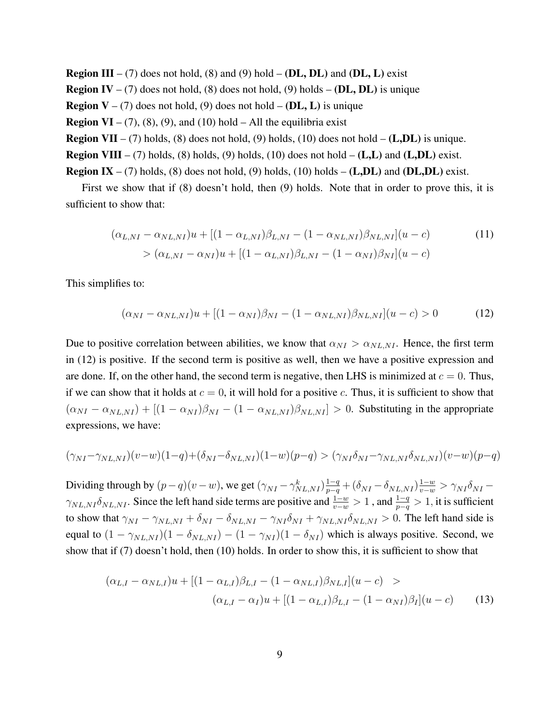**Region III** – (7) does not hold, (8) and (9) hold – (**DL, DL**) and (**DL, L**) exist **Region IV** – (7) does not hold, (8) does not hold, (9) holds – (**DL, DL**) is unique **Region**  $V - (7)$  does not hold, (9) does not hold  $-$  (**DL**, **L**) is unique **Region VI** – (7), (8), (9), and (10) hold – All the equilibria exist **Region VII** – (7) holds, (8) does not hold, (9) holds, (10) does not hold – (**L,DL**) is unique. **Region VIII** – (7) holds, (8) holds, (9) holds, (10) does not hold –  $(L,L)$  and  $(L,DL)$  exist. **Region IX** – (7) holds, (8) does not hold, (9) holds, (10) holds – (**L,DL**) and (**DL,DL**) exist.

First we show that if (8) doesn't hold, then (9) holds. Note that in order to prove this, it is sufficient to show that:

$$
(\alpha_{L,NI} - \alpha_{NL,NI})u + [(1 - \alpha_{L,NI})\beta_{L,NI} - (1 - \alpha_{NL,NI})\beta_{NL,NI}](u - c)
$$
  
> 
$$
(\alpha_{L,NI} - \alpha_{NI})u + [(1 - \alpha_{L,NI})\beta_{L,NI} - (1 - \alpha_{NI})\beta_{NI}](u - c)
$$
 (11)

This simplifies to:

$$
(\alpha_{NI} - \alpha_{NL,NI})u + [(1 - \alpha_{NI})\beta_{NI} - (1 - \alpha_{NL,NI})\beta_{NL,NI}](u - c) > 0
$$
 (12)

Due to positive correlation between abilities, we know that  $\alpha_{NI} > \alpha_{NL,NI}$ . Hence, the first term in (12) is positive. If the second term is positive as well, then we have a positive expression and are done. If, on the other hand, the second term is negative, then LHS is minimized at  $c = 0$ . Thus, if we can show that it holds at  $c = 0$ , it will hold for a positive c. Thus, it is sufficient to show that  $(\alpha_{NI} - \alpha_{NL,NI}) + [(1 - \alpha_{NI})\beta_{NI} - (1 - \alpha_{NL,NI})\beta_{NL,NI}] > 0$ . Substituting in the appropriate expressions, we have:

$$
(\gamma_{NI} - \gamma_{NL,NI})(v-w)(1-q) + (\delta_{NI} - \delta_{NL,NI})(1-w)(p-q) > (\gamma_{NI}\delta_{NI} - \gamma_{NL,NI}\delta_{NL,NI})(v-w)(p-q)
$$

Dividing through by  $(p-q)(v-w)$ , we get  $(\gamma_{NI} - \gamma_{NL,NI}^k) \frac{1-q}{p-q} + (\delta_{NI} - \delta_{NL,NI}) \frac{1-w}{v-w} > \gamma_{NI} \delta_{NI} \gamma_{NL,NI}\delta_{NL,NI}$ . Since the left hand side terms are positive and  $\frac{1-w}{v-w}>1$ , and  $\frac{1-q}{p-q}>1$ , it is sufficient to show that  $\gamma_{NI} - \gamma_{NL,NI} + \delta_{NI} - \delta_{NL,NI} - \gamma_{NI} \delta_{NI} + \gamma_{NL,NI} \delta_{NL,NI} > 0$ . The left hand side is equal to  $(1 - \gamma_{NL,NI})(1 - \delta_{NL,NI}) - (1 - \gamma_{NI})(1 - \delta_{NI})$  which is always positive. Second, we show that if (7) doesn't hold, then (10) holds. In order to show this, it is sufficient to show that

$$
(\alpha_{L,I} - \alpha_{NL,I})u + [(1 - \alpha_{L,I})\beta_{L,I} - (1 - \alpha_{NL,I})\beta_{NL,I}](u - c) >
$$
  

$$
(\alpha_{L,I} - \alpha_I)u + [(1 - \alpha_{L,I})\beta_{L,I} - (1 - \alpha_{NI})\beta_I](u - c)
$$
(13)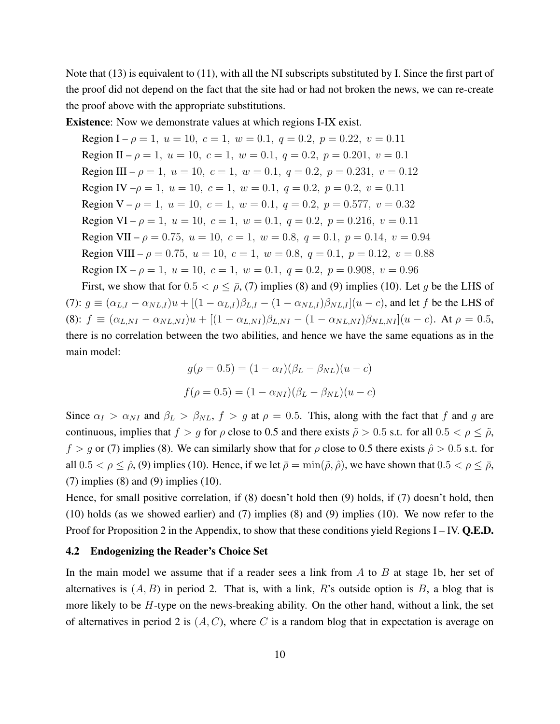Note that (13) is equivalent to (11), with all the NI subscripts substituted by I. Since the first part of the proof did not depend on the fact that the site had or had not broken the news, we can re-create the proof above with the appropriate substitutions.

Existence: Now we demonstrate values at which regions I-IX exist.

Region I –  $\rho = 1$ ,  $u = 10$ ,  $c = 1$ ,  $w = 0.1$ ,  $q = 0.2$ ,  $p = 0.22$ ,  $v = 0.11$ Region II –  $\rho = 1$ ,  $u = 10$ ,  $c = 1$ ,  $w = 0.1$ ,  $q = 0.2$ ,  $p = 0.201$ ,  $v = 0.1$ Region III –  $\rho = 1$ ,  $u = 10$ ,  $c = 1$ ,  $w = 0.1$ ,  $q = 0.2$ ,  $p = 0.231$ ,  $v = 0.12$ Region IV  $-\rho = 1$ ,  $u = 10$ ,  $c = 1$ ,  $w = 0.1$ ,  $q = 0.2$ ,  $p = 0.2$ ,  $v = 0.11$ Region  $V - \rho = 1$ ,  $u = 10$ ,  $c = 1$ ,  $w = 0.1$ ,  $q = 0.2$ ,  $p = 0.577$ ,  $v = 0.32$ Region VI –  $\rho = 1$ ,  $u = 10$ ,  $c = 1$ ,  $w = 0.1$ ,  $q = 0.2$ ,  $p = 0.216$ ,  $v = 0.11$ Region VII –  $\rho = 0.75$ ,  $u = 10$ ,  $c = 1$ ,  $w = 0.8$ ,  $q = 0.1$ ,  $p = 0.14$ ,  $v = 0.94$ Region VIII –  $\rho = 0.75$ ,  $u = 10$ ,  $c = 1$ ,  $w = 0.8$ ,  $q = 0.1$ ,  $p = 0.12$ ,  $v = 0.88$ Region IX –  $\rho = 1$ ,  $u = 10$ ,  $c = 1$ ,  $w = 0.1$ ,  $q = 0.2$ ,  $p = 0.908$ ,  $v = 0.96$ 

First, we show that for  $0.5 < \rho \le \bar{\rho}$ , (7) implies (8) and (9) implies (10). Let g be the LHS of (7):  $g \equiv (\alpha_{L,I} - \alpha_{NL,I})u + [(1 - \alpha_{L,I})\beta_{L,I} - (1 - \alpha_{NL,I})\beta_{NL,I}](u - c)$ , and let f be the LHS of (8):  $f \equiv (\alpha_{L,NI} - \alpha_{NL,NI})u + [(1 - \alpha_{L,NI})\beta_{L,NI} - (1 - \alpha_{NL,NI})\beta_{NL,NI}](u - c)$ . At  $\rho = 0.5$ , there is no correlation between the two abilities, and hence we have the same equations as in the main model:

$$
g(\rho = 0.5) = (1 - \alpha_I)(\beta_L - \beta_{NL})(u - c)
$$

$$
f(\rho = 0.5) = (1 - \alpha_{NI})(\beta_L - \beta_{NL})(u - c)
$$

Since  $\alpha_I > \alpha_{NI}$  and  $\beta_L > \beta_{NL}$ ,  $f > g$  at  $\rho = 0.5$ . This, along with the fact that f and g are continuous, implies that  $f > g$  for  $\rho$  close to 0.5 and there exists  $\tilde{\rho} > 0.5$  s.t. for all  $0.5 < \rho \leq \tilde{\rho}$ ,  $f > g$  or (7) implies (8). We can similarly show that for  $\rho$  close to 0.5 there exists  $\hat{\rho} > 0.5$  s.t. for all  $0.5 < \rho \leq \hat{\rho}$ , (9) implies (10). Hence, if we let  $\bar{\rho} = \min(\tilde{\rho}, \hat{\rho})$ , we have shown that  $0.5 < \rho \leq \bar{\rho}$ ,  $(7)$  implies  $(8)$  and  $(9)$  implies  $(10)$ .

Hence, for small positive correlation, if (8) doesn't hold then (9) holds, if (7) doesn't hold, then (10) holds (as we showed earlier) and (7) implies (8) and (9) implies (10). We now refer to the Proof for Proposition 2 in the Appendix, to show that these conditions yield Regions  $I - IV$ . Q.E.D.

#### 4.2 Endogenizing the Reader's Choice Set

In the main model we assume that if a reader sees a link from  $A$  to  $B$  at stage 1b, her set of alternatives is  $(A, B)$  in period 2. That is, with a link, R's outside option is B, a blog that is more likely to be  $H$ -type on the news-breaking ability. On the other hand, without a link, the set of alternatives in period 2 is  $(A, C)$ , where C is a random blog that in expectation is average on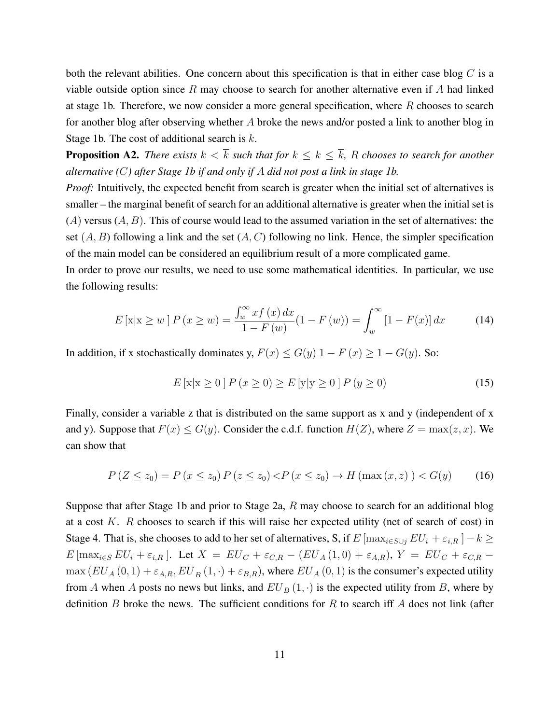both the relevant abilities. One concern about this specification is that in either case blog  $C$  is a viable outside option since  $R$  may choose to search for another alternative even if  $A$  had linked at stage 1b. Therefore, we now consider a more general specification, where R chooses to search for another blog after observing whether A broke the news and/or posted a link to another blog in Stage 1b. The cost of additional search is k.

**Proposition A2.** *There exists*  $\underline{k} < \overline{k}$  *such that for*  $\underline{k} \leq k \leq \overline{k}$ *, R chooses to search for another alternative (*C*) after Stage 1b if and only if* A *did not post a link in stage 1b.*

*Proof:* Intuitively, the expected benefit from search is greater when the initial set of alternatives is smaller – the marginal benefit of search for an additional alternative is greater when the initial set is  $(A)$  versus  $(A, B)$ . This of course would lead to the assumed variation in the set of alternatives: the set  $(A, B)$  following a link and the set  $(A, C)$  following no link. Hence, the simpler specification of the main model can be considered an equilibrium result of a more complicated game.

In order to prove our results, we need to use some mathematical identities. In particular, we use the following results:

$$
E\left[\mathbf{x}|\mathbf{x} \ge w\right]P\left(x \ge w\right) = \frac{\int_{w}^{\infty} x f\left(x\right) dx}{1 - F\left(w\right)} (1 - F\left(w\right)) = \int_{w}^{\infty} \left[1 - F(x)\right] dx \tag{14}
$$

In addition, if x stochastically dominates y,  $F(x) \le G(y)$  1 –  $F(x) \ge 1 - G(y)$ . So:

$$
E[x|x \ge 0] P (x \ge 0) \ge E[y|y \ge 0] P (y \ge 0)
$$
\n(15)

Finally, consider a variable z that is distributed on the same support as x and y (independent of x and y). Suppose that  $F(x) \le G(y)$ . Consider the c.d.f. function  $H(Z)$ , where  $Z = \max(z, x)$ . We can show that

$$
P(Z \le z_0) = P(x \le z_0) P(z \le z_0) < P(x \le z_0) \to H(\max(x, z)) < G(y) \tag{16}
$$

Suppose that after Stage 1b and prior to Stage 2a, R may choose to search for an additional blog at a cost  $K$ .  $R$  chooses to search if this will raise her expected utility (net of search of cost) in Stage 4. That is, she chooses to add to her set of alternatives, S, if  $E$  [max $_{i\in S\cup j}$   $EU_i + \varepsilon_{i,R}$ ]  $-k \geq$  $E$ [max<sub>i∈S</sub>  $EU_i + \varepsilon_{i,R}$ ]. Let  $X = EU_C + \varepsilon_{C,R} - (EU_A(1,0) + \varepsilon_{A,R}), Y = EU_C + \varepsilon_{C,R} \max (EU_A(0,1) + \varepsilon_{A,B}, EU_B(1,\cdot) + \varepsilon_{B,B})$ , where  $EU_A(0,1)$  is the consumer's expected utility from A when A posts no news but links, and  $EU_B(1, \cdot)$  is the expected utility from B, where by definition  $B$  broke the news. The sufficient conditions for  $R$  to search iff  $A$  does not link (after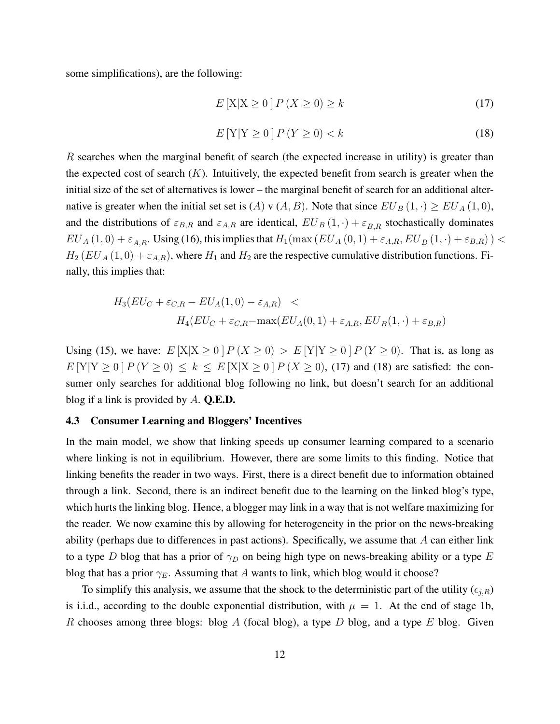some simplifications), are the following:

$$
E\left[\mathbf{X}\middle|\mathbf{X}\geq 0\right]P\left(\mathbf{X}\geq 0\right)\geq k\tag{17}
$$

$$
E[Y|Y \ge 0]P(Y \ge 0) < k \tag{18}
$$

R searches when the marginal benefit of search (the expected increase in utility) is greater than the expected cost of search  $(K)$ . Intuitively, the expected benefit from search is greater when the initial size of the set of alternatives is lower – the marginal benefit of search for an additional alternative is greater when the initial set set is (A) v (A, B). Note that since  $EU_B(1,.) \geq EU_A(1,0),$ and the distributions of  $\varepsilon_{B,R}$  and  $\varepsilon_{A,R}$  are identical,  $EU_B(1, \cdot) + \varepsilon_{B,R}$  stochastically dominates  $EU_A(1,0) + \varepsilon_{A,R}$ . Using (16), this implies that  $H_1(\max(EU_A(0,1) + \varepsilon_{A,R}, EU_B(1,\cdot) + \varepsilon_{B,R}))$  <  $H_2 (EU_A (1,0) + \varepsilon_{A,R})$ , where  $H_1$  and  $H_2$  are the respective cumulative distribution functions. Finally, this implies that:

$$
H_3(EU_C + \varepsilon_{C,R} - EU_A(1,0) - \varepsilon_{A,R}) \nH_4(EU_C + \varepsilon_{C,R} - \max(EU_A(0,1) + \varepsilon_{A,R}, EU_B(1,\cdot) + \varepsilon_{B,R})
$$

Using (15), we have:  $E[X|X \ge 0]P(X \ge 0) > E[Y|Y \ge 0]P(Y \ge 0)$ . That is, as long as  $E[Y|Y > 0 | P(Y > 0) < k < E[X|X > 0 | P(X > 0), (17) \text{ and } (18) \text{ are satisfied: the con$ sumer only searches for additional blog following no link, but doesn't search for an additional blog if a link is provided by  $A$ . **Q.E.D.** 

#### 4.3 Consumer Learning and Bloggers' Incentives

In the main model, we show that linking speeds up consumer learning compared to a scenario where linking is not in equilibrium. However, there are some limits to this finding. Notice that linking benefits the reader in two ways. First, there is a direct benefit due to information obtained through a link. Second, there is an indirect benefit due to the learning on the linked blog's type, which hurts the linking blog. Hence, a blogger may link in a way that is not welfare maximizing for the reader. We now examine this by allowing for heterogeneity in the prior on the news-breaking ability (perhaps due to differences in past actions). Specifically, we assume that  $A$  can either link to a type D blog that has a prior of  $\gamma_D$  on being high type on news-breaking ability or a type E blog that has a prior  $\gamma_E$ . Assuming that A wants to link, which blog would it choose?

To simplify this analysis, we assume that the shock to the deterministic part of the utility  $(\epsilon_{i,R})$ is i.i.d., according to the double exponential distribution, with  $\mu = 1$ . At the end of stage 1b, R chooses among three blogs: blog A (focal blog), a type D blog, and a type E blog. Given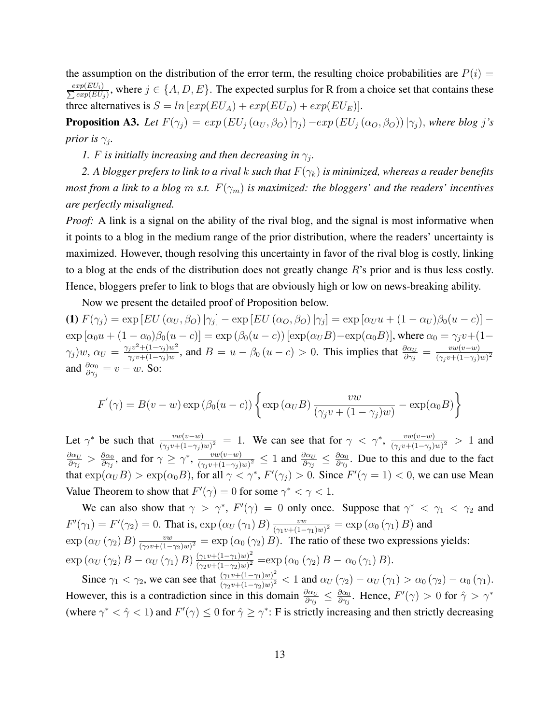the assumption on the distribution of the error term, the resulting choice probabilities are  $P(i)$  = P  $exp(EU_i)$  $\frac{xp(EU_i)}{exp(EU_j)}$ , where  $j \in \{A, D, E\}$ . The expected surplus for R from a choice set that contains these three alternatives is  $S = ln [exp(EU_A) + exp(EU_D) + exp(EU_E)]$ .

**Proposition A3.** Let  $F(\gamma_j) = exp(EU_j(\alpha_U, \beta_O)|\gamma_j) - exp(EU_j(\alpha_O, \beta_O))|\gamma_j)$ , where blog j's *prior is*  $\gamma_j$ *.* 

*1.* F is initially increasing and then decreasing in  $\gamma_j$ .

2. A blogger prefers to link to a rival k such that  $F(\gamma_k)$  is minimized, whereas a reader benefits *most from a link to a blog m s.t.*  $F(\gamma_m)$  *is maximized: the bloggers' and the readers' incentives are perfectly misaligned.*

*Proof:* A link is a signal on the ability of the rival blog, and the signal is most informative when it points to a blog in the medium range of the prior distribution, where the readers' uncertainty is maximized. However, though resolving this uncertainty in favor of the rival blog is costly, linking to a blog at the ends of the distribution does not greatly change  $R$ 's prior and is thus less costly. Hence, bloggers prefer to link to blogs that are obviously high or low on news-breaking ability.

Now we present the detailed proof of Proposition below.

(1)  $F(\gamma_j) = \exp[EU(\alpha_U, \beta_O)|\gamma_j] - \exp[EU(\alpha_O, \beta_O)|\gamma_j] = \exp[\alpha_U u + (1 - \alpha_U)\beta_0 (u - c)] \exp [\alpha_0 u + (1 - \alpha_0)\beta_0(u - c)] = \exp (\beta_0(u - c)) [\exp(\alpha_U B) - \exp(\alpha_0 B)]$ , where  $\alpha_0 = \gamma_j v + (1 - \alpha_0)v$  $(\gamma_j)w, \, \alpha_U = \frac{\gamma_j v^2 + (1-\gamma_j)w^2}{\gamma_j w + (1-\gamma_j)w}$  $\frac{g_j v^2 + (1 - \gamma_j)w^2}{\gamma_j v + (1 - \gamma_j)w}$ , and  $B = u - \beta_0 (u - c) > 0$ . This implies that  $\frac{\partial \alpha_U}{\partial \gamma_j} = \frac{vw(v-w)}{(\gamma_i v + (1 - \gamma_j)w)}$  $\overline{(\gamma_j v+(1-\gamma_j)w)^2}$ and  $\frac{\partial \alpha_0}{\partial \gamma_j} = v - w$ . So:

$$
F'(\gamma) = B(v - w) \exp(\beta_0(u - c)) \left\{ \exp(\alpha_U B) \frac{vw}{(\gamma_j v + (1 - \gamma_j)w)} - \exp(\alpha_0 B) \right\}
$$

Let  $\gamma^*$  be such that  $\frac{vw(v-w)}{(\gamma_j v+(1-\gamma_j)w)^2} = 1$ . We can see that for  $\gamma < \gamma^*$ ,  $\frac{vw(v-w)}{(\gamma_j v+(1-\gamma_j)w)^2}$  $\frac{vw(v-w)}{(\gamma_j v+(1-\gamma_j)w)^2} > 1$  and  $\partial \alpha_U$  $\frac{\partial \alpha_U}{\partial \gamma_j} > \frac{\partial \alpha_0}{\partial \gamma_j}$  $\frac{\partial \alpha_0}{\partial \gamma_j}$ , and for  $\gamma \geq \gamma^*$ ,  $\frac{vw(v-w)}{(\gamma_i v + (1-\gamma_i))}$  $\frac{vw(v-w)}{(\gamma_j v+(1-\gamma_j)w)^2}\leq 1$  and  $\frac{\partial \alpha_U}{\partial \gamma_j}\leq \frac{\partial \alpha_U}{\partial \gamma_j}$  $\frac{\partial \alpha_0}{\partial \gamma_j}$ . Due to this and due to the fact that  $\exp(\alpha_U B) > \exp(\alpha_0 B)$ , for all  $\gamma < \gamma^*$ ,  $F'(\gamma_j) > 0$ . Since  $F'(\gamma = 1) < 0$ , we can use Mean Value Theorem to show that  $F'(\gamma) = 0$  for some  $\gamma^* < \gamma < 1$ .

We can also show that  $\gamma > \gamma^*$ ,  $F'(\gamma) = 0$  only once. Suppose that  $\gamma^* < \gamma_1 < \gamma_2$  and  $F'(\gamma_1) = F'(\gamma_2) = 0$ . That is,  $\exp(\alpha_U(\gamma_1) B) \frac{vw}{(\gamma_1 + (1 - \gamma_2))}$  $\frac{vw}{\left(\gamma_1v+\left(1-\gamma_1\right)w\right)^2}=\exp\left(\alpha_0\left(\gamma_1\right)B\right)$  and  $\exp\left(\alpha_U\left(\gamma_2\right)B\right)\frac{vw}{\left(\gamma_2\right)v+(1-v)}$  $\frac{vw}{(\gamma_2v+(1-\gamma_2)w)^2} = \exp(\alpha_0(\gamma_2)B)$ . The ratio of these two expressions yields:  $\exp\left(\alpha_U(\gamma_2) B - \alpha_U(\gamma_1) B\right) \frac{(\gamma_1 v + (1-\gamma_1) w)^2}{(\gamma_2 v + (1-\gamma_2) w)^2}$  $\frac{(\gamma_1 v + (1 - \gamma_1) w)^2}{(\gamma_2 v + (1 - \gamma_2) w)^2} = \exp (\alpha_0 (\gamma_2) B - \alpha_0 (\gamma_1) B).$ 

Since  $\gamma_1 < \gamma_2$ , we can see that  $\frac{(\gamma_1 v + (1 - \gamma_1)w)^2}{(\gamma_1 v + (1 - \gamma_2)w)^2}$  $\frac{(\gamma_1 v + (1 - \gamma_1) w)^2}{(\gamma_2 v + (1 - \gamma_2) w)^2}$  < 1 and  $\alpha_U(\gamma_2) - \alpha_U(\gamma_1) > \alpha_0(\gamma_2) - \alpha_0(\gamma_1)$ . However, this is a contradiction since in this domain  $\frac{\partial \alpha_U}{\partial \gamma_j} \leq \frac{\partial \alpha_U}{\partial \gamma_j}$  $\frac{\partial \alpha_0}{\partial \gamma_j}$ . Hence,  $F'(\gamma) > 0$  for  $\hat{\gamma} > \gamma^*$ (where  $\gamma^* < \hat{\gamma} < 1$ ) and  $F'(\gamma) \leq 0$  for  $\hat{\gamma} \geq \gamma^*$ : F is strictly increasing and then strictly decreasing